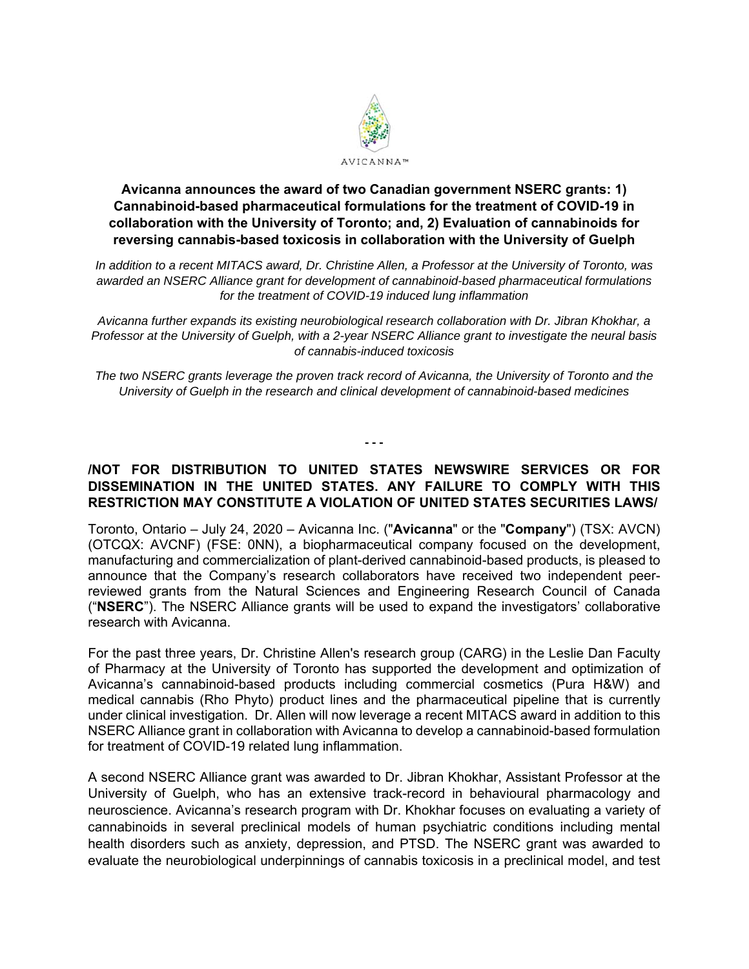

# **Avicanna announces the award of two Canadian government NSERC grants: 1) Cannabinoid-based pharmaceutical formulations for the treatment of COVID-19 in collaboration with the University of Toronto; and, 2) Evaluation of cannabinoids for reversing cannabis-based toxicosis in collaboration with the University of Guelph**

*In addition to a recent MITACS award, Dr. Christine Allen, a Professor at the University of Toronto, was awarded an NSERC Alliance grant for development of cannabinoid-based pharmaceutical formulations for the treatment of COVID-19 induced lung inflammation* 

*Avicanna further expands its existing neurobiological research collaboration with Dr. Jibran Khokhar, a Professor at the University of Guelph, with a 2-year NSERC Alliance grant to investigate the neural basis of cannabis-induced toxicosis* 

*The two NSERC grants leverage the proven track record of Avicanna, the University of Toronto and the University of Guelph in the research and clinical development of cannabinoid-based medicines* 

**‐ ‐ ‐** 

### **/NOT FOR DISTRIBUTION TO UNITED STATES NEWSWIRE SERVICES OR FOR DISSEMINATION IN THE UNITED STATES. ANY FAILURE TO COMPLY WITH THIS RESTRICTION MAY CONSTITUTE A VIOLATION OF UNITED STATES SECURITIES LAWS/**

Toronto, Ontario – July 24, 2020 – Avicanna Inc. ("**Avicanna**" or the "**Company**") (TSX: AVCN) (OTCQX: AVCNF) (FSE: 0NN), a biopharmaceutical company focused on the development, manufacturing and commercialization of plant-derived cannabinoid-based products, is pleased to announce that the Company's research collaborators have received two independent peerreviewed grants from the Natural Sciences and Engineering Research Council of Canada ("**NSERC**"). The NSERC Alliance grants will be used to expand the investigators' collaborative research with Avicanna.

For the past three years, Dr. Christine Allen's research group (CARG) in the Leslie Dan Faculty of Pharmacy at the University of Toronto has supported the development and optimization of Avicanna's cannabinoid-based products including commercial cosmetics (Pura H&W) and medical cannabis (Rho Phyto) product lines and the pharmaceutical pipeline that is currently under clinical investigation. Dr. Allen will now leverage a recent MITACS award in addition to this NSERC Alliance grant in collaboration with Avicanna to develop a cannabinoid-based formulation for treatment of COVID-19 related lung inflammation.

A second NSERC Alliance grant was awarded to Dr. Jibran Khokhar, Assistant Professor at the University of Guelph, who has an extensive track-record in behavioural pharmacology and neuroscience. Avicanna's research program with Dr. Khokhar focuses on evaluating a variety of cannabinoids in several preclinical models of human psychiatric conditions including mental health disorders such as anxiety, depression, and PTSD. The NSERC grant was awarded to evaluate the neurobiological underpinnings of cannabis toxicosis in a preclinical model, and test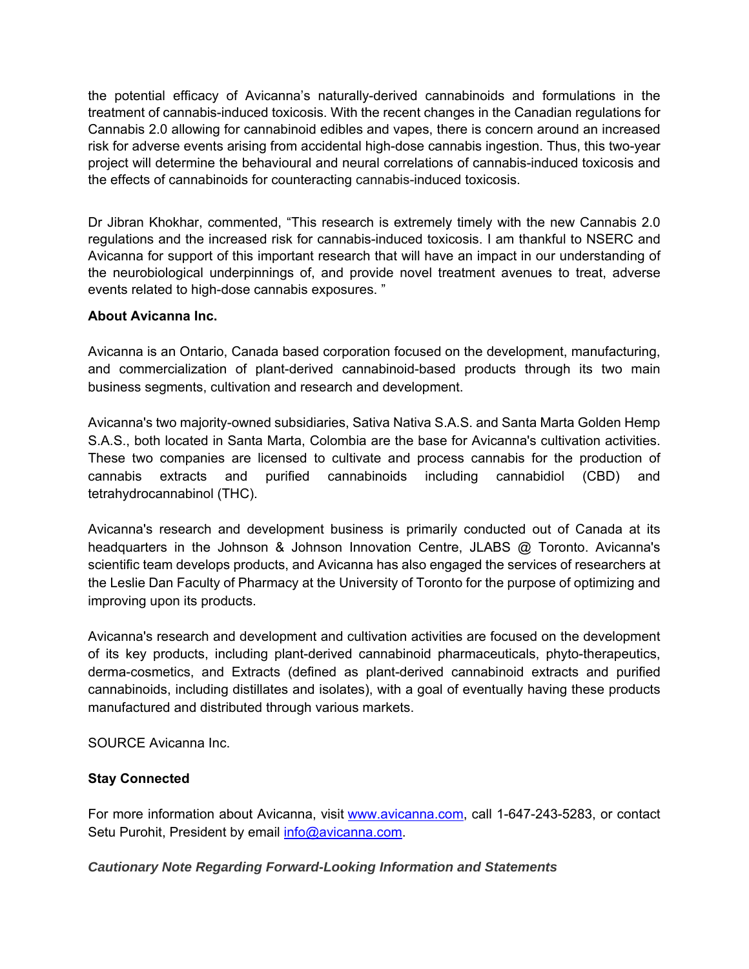the potential efficacy of Avicanna's naturally-derived cannabinoids and formulations in the treatment of cannabis-induced toxicosis. With the recent changes in the Canadian regulations for Cannabis 2.0 allowing for cannabinoid edibles and vapes, there is concern around an increased risk for adverse events arising from accidental high-dose cannabis ingestion. Thus, this two-year project will determine the behavioural and neural correlations of cannabis-induced toxicosis and the effects of cannabinoids for counteracting cannabis-induced toxicosis.

Dr Jibran Khokhar, commented, "This research is extremely timely with the new Cannabis 2.0 regulations and the increased risk for cannabis-induced toxicosis. I am thankful to NSERC and Avicanna for support of this important research that will have an impact in our understanding of the neurobiological underpinnings of, and provide novel treatment avenues to treat, adverse events related to high-dose cannabis exposures. "

# **About Avicanna Inc.**

Avicanna is an Ontario, Canada based corporation focused on the development, manufacturing, and commercialization of plant-derived cannabinoid-based products through its two main business segments, cultivation and research and development.

Avicanna's two majority-owned subsidiaries, Sativa Nativa S.A.S. and Santa Marta Golden Hemp S.A.S., both located in Santa Marta, Colombia are the base for Avicanna's cultivation activities. These two companies are licensed to cultivate and process cannabis for the production of cannabis extracts and purified cannabinoids including cannabidiol (CBD) and tetrahydrocannabinol (THC).

Avicanna's research and development business is primarily conducted out of Canada at its headquarters in the Johnson & Johnson Innovation Centre, JLABS @ Toronto. Avicanna's scientific team develops products, and Avicanna has also engaged the services of researchers at the Leslie Dan Faculty of Pharmacy at the University of Toronto for the purpose of optimizing and improving upon its products.

Avicanna's research and development and cultivation activities are focused on the development of its key products, including plant-derived cannabinoid pharmaceuticals, phyto-therapeutics, derma-cosmetics, and Extracts (defined as plant-derived cannabinoid extracts and purified cannabinoids, including distillates and isolates), with a goal of eventually having these products manufactured and distributed through various markets.

SOURCE Avicanna Inc.

### **Stay Connected**

For more information about Avicanna, visit www.avicanna.com, call 1-647-243-5283, or contact Setu Purohit, President by email info@avicanna.com.

### *Cautionary Note Regarding Forward-Looking Information and Statements*